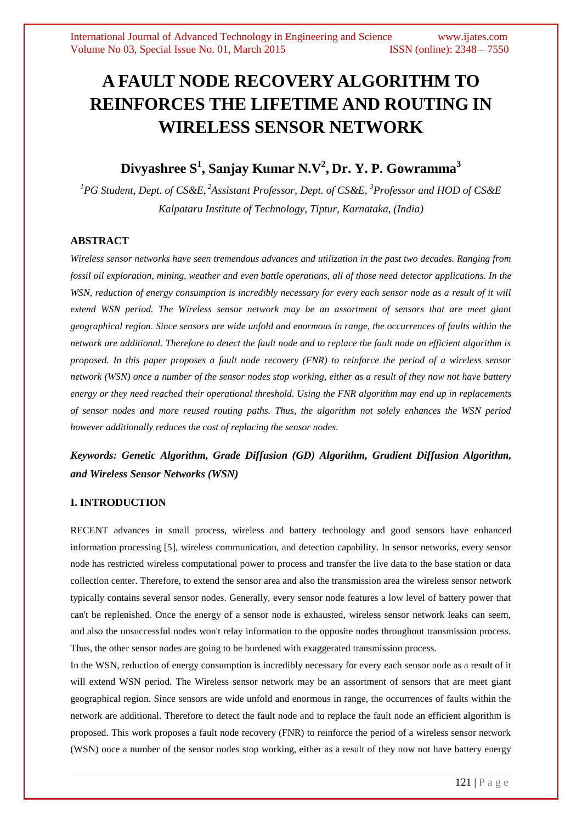# **A FAULT NODE RECOVERY ALGORITHM TO REINFORCES THE LIFETIME AND ROUTING IN WIRELESS SENSOR NETWORK**

# **Divyashree S<sup>1</sup> , Sanjay Kumar N.V<sup>2</sup> , Dr. Y. P. Gowramma<sup>3</sup>**

*<sup>1</sup>PG Student, Dept. of CS&E, <sup>2</sup>Assistant Professor, Dept. of CS&E, <sup>3</sup>Professor and HOD of CS&E Kalpataru Institute of Technology, Tiptur, Karnataka, (India)*

# **ABSTRACT**

*Wireless sensor networks have seen tremendous advances and utilization in the past two decades. Ranging from fossil oil exploration, mining, weather and even battle operations, all of those need detector applications. In the WSN, reduction of energy consumption is incredibly necessary for every each sensor node as a result of it will extend WSN period. The Wireless sensor network may be an assortment of sensors that are meet giant geographical region. Since sensors are wide unfold and enormous in range, the occurrences of faults within the network are additional. Therefore to detect the fault node and to replace the fault node an efficient algorithm is proposed. In this paper proposes a fault node recovery (FNR) to reinforce the period of a wireless sensor network (WSN) once a number of the sensor nodes stop working, either as a result of they now not have battery energy or they need reached their operational threshold. Using the FNR algorithm may end up in replacements of sensor nodes and more reused routing paths. Thus, the algorithm not solely enhances the WSN period however additionally reduces the cost of replacing the sensor nodes.*

# *Keywords: Genetic Algorithm, Grade Diffusion (GD) Algorithm, Gradient Diffusion Algorithm, and Wireless Sensor Networks (WSN)*

## **I. INTRODUCTION**

RECENT advances in small process, wireless and battery technology and good sensors have enhanced information processing [5], wireless communication, and detection capability. In sensor networks, every sensor node has restricted wireless computational power to process and transfer the live data to the base station or data collection center. Therefore, to extend the sensor area and also the transmission area the wireless sensor network typically contains several sensor nodes. Generally, every sensor node features a low level of battery power that can't be replenished. Once the energy of a sensor node is exhausted, wireless sensor network leaks can seem, and also the unsuccessful nodes won't relay information to the opposite nodes throughout transmission process. Thus, the other sensor nodes are going to be burdened with exaggerated transmission process.

In the WSN, reduction of energy consumption is incredibly necessary for every each sensor node as a result of it will extend WSN period. The Wireless sensor network may be an assortment of sensors that are meet giant geographical region. Since sensors are wide unfold and enormous in range, the occurrences of faults within the network are additional. Therefore to detect the fault node and to replace the fault node an efficient algorithm is proposed. This work proposes a fault node recovery (FNR) to reinforce the period of a wireless sensor network (WSN) once a number of the sensor nodes stop working, either as a result of they now not have battery energy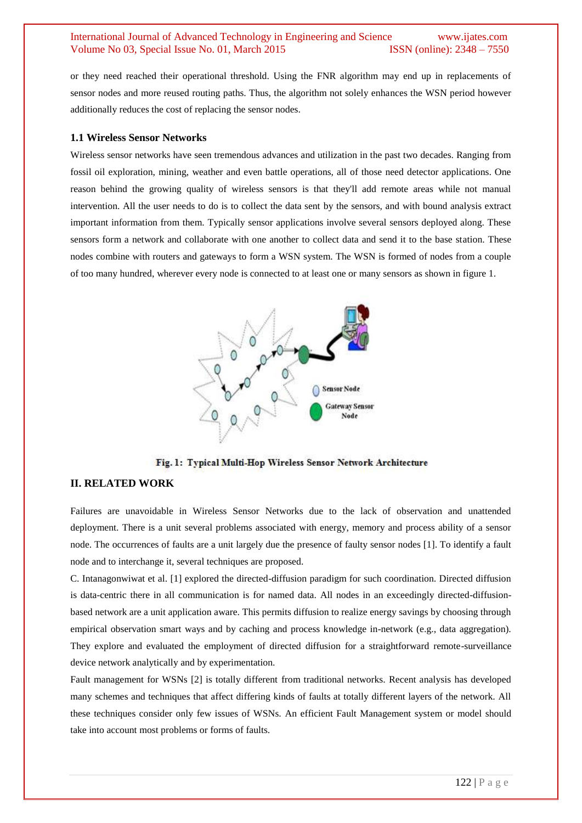or they need reached their operational threshold. Using the FNR algorithm may end up in replacements of sensor nodes and more reused routing paths. Thus, the algorithm not solely enhances the WSN period however additionally reduces the cost of replacing the sensor nodes.

#### **1.1 Wireless Sensor Networks**

Wireless sensor networks have seen tremendous advances and utilization in the past two decades. Ranging from fossil oil exploration, mining, weather and even battle operations, all of those need detector applications. One reason behind the growing quality of wireless sensors is that they'll add remote areas while not manual intervention. All the user needs to do is to collect the data sent by the sensors, and with bound analysis extract important information from them. Typically sensor applications involve several sensors deployed along. These sensors form a network and collaborate with one another to collect data and send it to the base station. These nodes combine with routers and gateways to form a WSN system. The WSN is formed of nodes from a couple of too many hundred, wherever every node is connected to at least one or many sensors as shown in figure 1.



Fig. 1: Typical Multi-Hop Wireless Sensor Network Architecture

## **II. RELATED WORK**

Failures are unavoidable in Wireless Sensor Networks due to the lack of observation and unattended deployment. There is a unit several problems associated with energy, memory and process ability of a sensor node. The occurrences of faults are a unit largely due the presence of faulty sensor nodes [1]. To identify a fault node and to interchange it, several techniques are proposed.

C. Intanagonwiwat et al. [1] explored the directed-diffusion paradigm for such coordination. Directed diffusion is data-centric there in all communication is for named data. All nodes in an exceedingly directed-diffusionbased network are a unit application aware. This permits diffusion to realize energy savings by choosing through empirical observation smart ways and by caching and process knowledge in-network (e.g., data aggregation). They explore and evaluated the employment of directed diffusion for a straightforward remote-surveillance device network analytically and by experimentation.

Fault management for WSNs [2] is totally different from traditional networks. Recent analysis has developed many schemes and techniques that affect differing kinds of faults at totally different layers of the network. All these techniques consider only few issues of WSNs. An efficient Fault Management system or model should take into account most problems or forms of faults.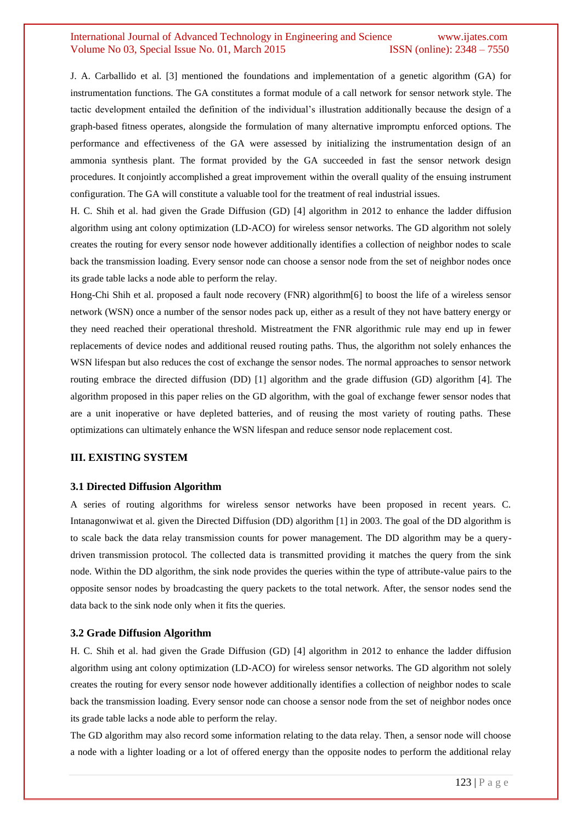J. A. Carballido et al. [3] mentioned the foundations and implementation of a genetic algorithm (GA) for instrumentation functions. The GA constitutes a format module of a call network for sensor network style. The tactic development entailed the definition of the individual's illustration additionally because the design of a graph-based fitness operates, alongside the formulation of many alternative impromptu enforced options. The performance and effectiveness of the GA were assessed by initializing the instrumentation design of an ammonia synthesis plant. The format provided by the GA succeeded in fast the sensor network design procedures. It conjointly accomplished a great improvement within the overall quality of the ensuing instrument configuration. The GA will constitute a valuable tool for the treatment of real industrial issues.

H. C. Shih et al. had given the Grade Diffusion (GD) [4] algorithm in 2012 to enhance the ladder diffusion algorithm using ant colony optimization (LD-ACO) for wireless sensor networks. The GD algorithm not solely creates the routing for every sensor node however additionally identifies a collection of neighbor nodes to scale back the transmission loading. Every sensor node can choose a sensor node from the set of neighbor nodes once its grade table lacks a node able to perform the relay.

Hong-Chi Shih et al. proposed a fault node recovery (FNR) algorithm[6] to boost the life of a wireless sensor network (WSN) once a number of the sensor nodes pack up, either as a result of they not have battery energy or they need reached their operational threshold. Mistreatment the FNR algorithmic rule may end up in fewer replacements of device nodes and additional reused routing paths. Thus, the algorithm not solely enhances the WSN lifespan but also reduces the cost of exchange the sensor nodes. The normal approaches to sensor network routing embrace the directed diffusion (DD) [1] algorithm and the grade diffusion (GD) algorithm [4]. The algorithm proposed in this paper relies on the GD algorithm, with the goal of exchange fewer sensor nodes that are a unit inoperative or have depleted batteries, and of reusing the most variety of routing paths. These optimizations can ultimately enhance the WSN lifespan and reduce sensor node replacement cost.

#### **III. EXISTING SYSTEM**

#### **3.1 Directed Diffusion Algorithm**

A series of routing algorithms for wireless sensor networks have been proposed in recent years. C. Intanagonwiwat et al. given the Directed Diffusion (DD) algorithm [1] in 2003. The goal of the DD algorithm is to scale back the data relay transmission counts for power management. The DD algorithm may be a querydriven transmission protocol. The collected data is transmitted providing it matches the query from the sink node. Within the DD algorithm, the sink node provides the queries within the type of attribute-value pairs to the opposite sensor nodes by broadcasting the query packets to the total network. After, the sensor nodes send the data back to the sink node only when it fits the queries.

#### **3.2 Grade Diffusion Algorithm**

H. C. Shih et al. had given the Grade Diffusion (GD) [4] algorithm in 2012 to enhance the ladder diffusion algorithm using ant colony optimization (LD-ACO) for wireless sensor networks. The GD algorithm not solely creates the routing for every sensor node however additionally identifies a collection of neighbor nodes to scale back the transmission loading. Every sensor node can choose a sensor node from the set of neighbor nodes once its grade table lacks a node able to perform the relay.

The GD algorithm may also record some information relating to the data relay. Then, a sensor node will choose a node with a lighter loading or a lot of offered energy than the opposite nodes to perform the additional relay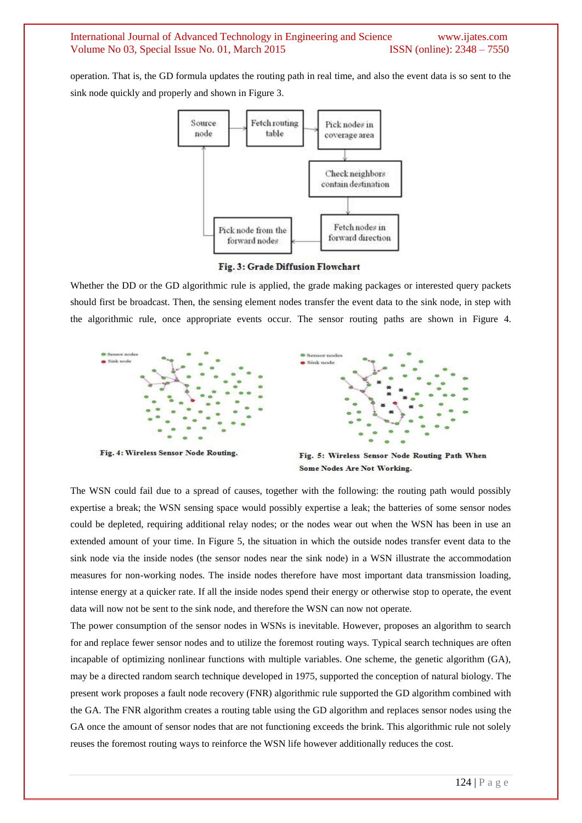operation. That is, the GD formula updates the routing path in real time, and also the event data is so sent to the sink node quickly and properly and shown in Figure 3.



Fig. 3: Grade Diffusion Flowchart

Whether the DD or the GD algorithmic rule is applied, the grade making packages or interested query packets should first be broadcast. Then, the sensing element nodes transfer the event data to the sink node, in step with the algorithmic rule, once appropriate events occur. The sensor routing paths are shown in Figure 4.





Fig. 4: Wireless Sensor Node Routing.

Fig. 5: Wireless Sensor Node Routing Path When Some Nodes Are Not Working.

The WSN could fail due to a spread of causes, together with the following: the routing path would possibly expertise a break; the WSN sensing space would possibly expertise a leak; the batteries of some sensor nodes could be depleted, requiring additional relay nodes; or the nodes wear out when the WSN has been in use an extended amount of your time. In Figure 5, the situation in which the outside nodes transfer event data to the sink node via the inside nodes (the sensor nodes near the sink node) in a WSN illustrate the accommodation measures for non-working nodes. The inside nodes therefore have most important data transmission loading, intense energy at a quicker rate. If all the inside nodes spend their energy or otherwise stop to operate, the event data will now not be sent to the sink node, and therefore the WSN can now not operate.

The power consumption of the sensor nodes in WSNs is inevitable. However, proposes an algorithm to search for and replace fewer sensor nodes and to utilize the foremost routing ways. Typical search techniques are often incapable of optimizing nonlinear functions with multiple variables. One scheme, the genetic algorithm (GA), may be a directed random search technique developed in 1975, supported the conception of natural biology. The present work proposes a fault node recovery (FNR) algorithmic rule supported the GD algorithm combined with the GA. The FNR algorithm creates a routing table using the GD algorithm and replaces sensor nodes using the GA once the amount of sensor nodes that are not functioning exceeds the brink. This algorithmic rule not solely reuses the foremost routing ways to reinforce the WSN life however additionally reduces the cost.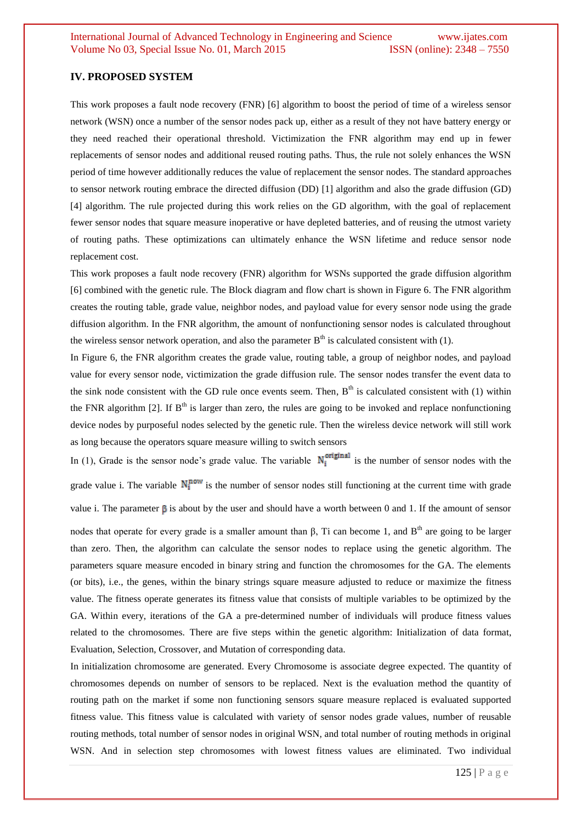#### **IV. PROPOSED SYSTEM**

This work proposes a fault node recovery (FNR) [6] algorithm to boost the period of time of a wireless sensor network (WSN) once a number of the sensor nodes pack up, either as a result of they not have battery energy or they need reached their operational threshold. Victimization the FNR algorithm may end up in fewer replacements of sensor nodes and additional reused routing paths. Thus, the rule not solely enhances the WSN period of time however additionally reduces the value of replacement the sensor nodes. The standard approaches to sensor network routing embrace the directed diffusion (DD) [1] algorithm and also the grade diffusion (GD) [4] algorithm. The rule projected during this work relies on the GD algorithm, with the goal of replacement fewer sensor nodes that square measure inoperative or have depleted batteries, and of reusing the utmost variety of routing paths. These optimizations can ultimately enhance the WSN lifetime and reduce sensor node replacement cost.

This work proposes a fault node recovery (FNR) algorithm for WSNs supported the grade diffusion algorithm [6] combined with the genetic rule. The Block diagram and flow chart is shown in Figure 6. The FNR algorithm creates the routing table, grade value, neighbor nodes, and payload value for every sensor node using the grade diffusion algorithm. In the FNR algorithm, the amount of nonfunctioning sensor nodes is calculated throughout the wireless sensor network operation, and also the parameter  $B<sup>th</sup>$  is calculated consistent with (1).

In Figure 6, the FNR algorithm creates the grade value, routing table, a group of neighbor nodes, and payload value for every sensor node, victimization the grade diffusion rule. The sensor nodes transfer the event data to the sink node consistent with the GD rule once events seem. Then,  $B<sup>th</sup>$  is calculated consistent with (1) within the FNR algorithm [2]. If  $B<sup>th</sup>$  is larger than zero, the rules are going to be invoked and replace nonfunctioning device nodes by purposeful nodes selected by the genetic rule. Then the wireless device network will still work as long because the operators square measure willing to switch sensors

In (1), Grade is the sensor node's grade value. The variable  $N_i^{\text{original}}$  is the number of sensor nodes with the grade value i. The variable  $N_i^{now}$  is the number of sensor nodes still functioning at the current time with grade

value i. The parameter  $\beta$  is about by the user and should have a worth between 0 and 1. If the amount of sensor

nodes that operate for every grade is a smaller amount than β, Ti can become 1, and B<sup>th</sup> are going to be larger than zero. Then, the algorithm can calculate the sensor nodes to replace using the genetic algorithm. The parameters square measure encoded in binary string and function the chromosomes for the GA. The elements (or bits), i.e., the genes, within the binary strings square measure adjusted to reduce or maximize the fitness value. The fitness operate generates its fitness value that consists of multiple variables to be optimized by the GA. Within every, iterations of the GA a pre-determined number of individuals will produce fitness values related to the chromosomes. There are five steps within the genetic algorithm: Initialization of data format, Evaluation, Selection, Crossover, and Mutation of corresponding data.

In initialization chromosome are generated. Every Chromosome is associate degree expected. The quantity of chromosomes depends on number of sensors to be replaced. Next is the evaluation method the quantity of routing path on the market if some non functioning sensors square measure replaced is evaluated supported fitness value. This fitness value is calculated with variety of sensor nodes grade values, number of reusable routing methods, total number of sensor nodes in original WSN, and total number of routing methods in original WSN. And in selection step chromosomes with lowest fitness values are eliminated. Two individual